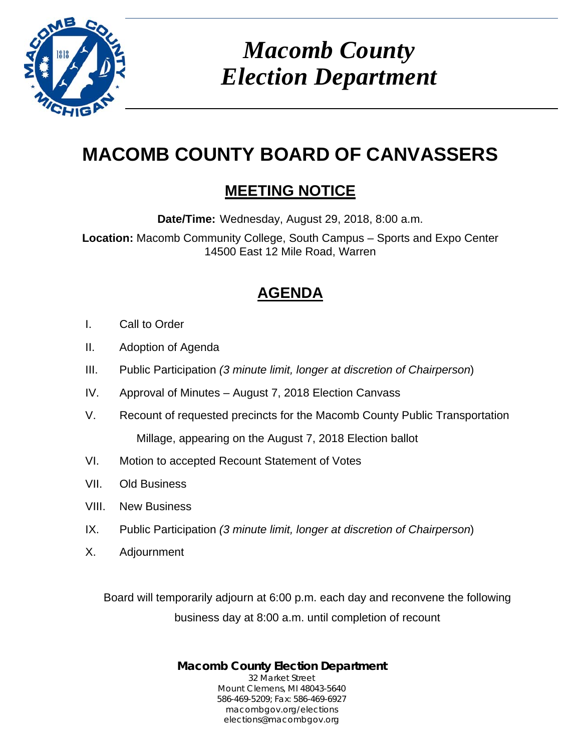

# *Macomb County Election Department*

## **MACOMB COUNTY BOARD OF CANVASSERS**

## **MEETING NOTICE**

**Date/Time:** Wednesday, August 29, 2018, 8:00 a.m.

**Location:** Macomb Community College, South Campus – Sports and Expo Center 14500 East 12 Mile Road, Warren

## **AGENDA**

- I. Call to Order
- II. Adoption of Agenda
- III. Public Participation *(3 minute limit, longer at discretion of Chairperson*)
- IV. Approval of Minutes August 7, 2018 Election Canvass
- V. Recount of requested precincts for the Macomb County Public Transportation Millage, appearing on the August 7, 2018 Election ballot
- VI. Motion to accepted Recount Statement of Votes
- VII. Old Business
- VIII. New Business
- IX. Public Participation *(3 minute limit, longer at discretion of Chairperson*)
- X. Adjournment

Board will temporarily adjourn at 6:00 p.m. each day and reconvene the following business day at 8:00 a.m. until completion of recount

> **Macomb County Election Department** 32 Market Street Mount Clemens, MI 48043-5640 586-469-5209; Fax: 586-469-6927 macombgov.org/elections elections@macombgov.org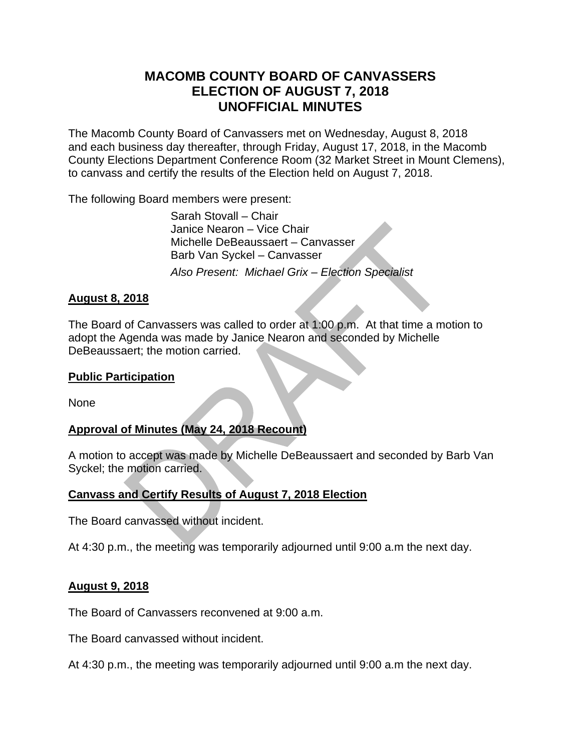#### **MACOMB COUNTY BOARD OF CANVASSERS ELECTION OF AUGUST 7, 2018 UNOFFICIAL MINUTES**

The Macomb County Board of Canvassers met on Wednesday, August 8, 2018 and each business day thereafter, through Friday, August 17, 2018, in the Macomb County Elections Department Conference Room (32 Market Street in Mount Clemens), to canvass and certify the results of the Election held on August 7, 2018.

The following Board members were present:

 Sarah Stovall – Chair Janice Nearon – Vice Chair Michelle DeBeaussaert – Canvasser Barb Van Syckel – Canvasser *Also Present: Michael Grix – Election Specialist* 

#### **August 8, 2018**

The Board of Canvassers was called to order at 1:00 p.m. At that time a motion to adopt the Agenda was made by Janice Nearon and seconded by Michelle DeBeaussaert; the motion carried.

#### **Public Participation**

None

#### **Approval of Minutes (May 24, 2018 Recount)**

A motion to accept was made by Michelle DeBeaussaert and seconded by Barb Van Syckel; the motion carried.

#### **Canvass and Certify Results of August 7, 2018 Election**

The Board canvassed without incident.

At 4:30 p.m., the meeting was temporarily adjourned until 9:00 a.m the next day.

#### **August 9, 2018**

The Board of Canvassers reconvened at 9:00 a.m.

The Board canvassed without incident.

At 4:30 p.m., the meeting was temporarily adjourned until 9:00 a.m the next day.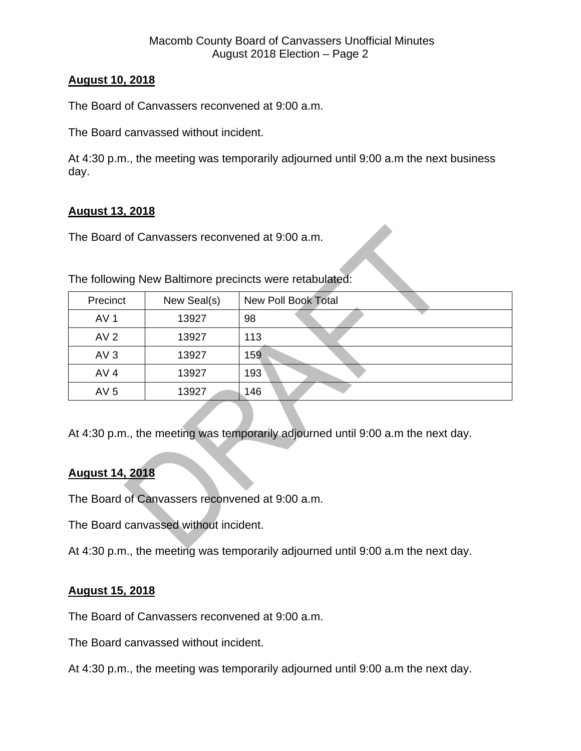#### **August 10, 2018**

The Board of Canvassers reconvened at 9:00 a.m.

The Board canvassed without incident.

At 4:30 p.m., the meeting was temporarily adjourned until 9:00 a.m the next business day.

#### **August 13, 2018**

The Board of Canvassers reconvened at 9:00 a.m.

| Precinct        | New Seal(s) | <b>New Poll Book Total</b> |
|-----------------|-------------|----------------------------|
| AV <sub>1</sub> | 13927       | 98                         |
| AV <sub>2</sub> | 13927       | 113                        |
| AV3             | 13927       | 159                        |
| AV <sub>4</sub> | 13927       | 193                        |
| AV <sub>5</sub> | 13927       | 146                        |

The following New Baltimore precincts were retabulated:

At 4:30 p.m., the meeting was temporarily adjourned until 9:00 a.m the next day.

#### **August 14, 2018**

The Board of Canvassers reconvened at 9:00 a.m.

The Board canvassed without incident.

At 4:30 p.m., the meeting was temporarily adjourned until 9:00 a.m the next day.

#### **August 15, 2018**

The Board of Canvassers reconvened at 9:00 a.m.

The Board canvassed without incident.

At 4:30 p.m., the meeting was temporarily adjourned until 9:00 a.m the next day.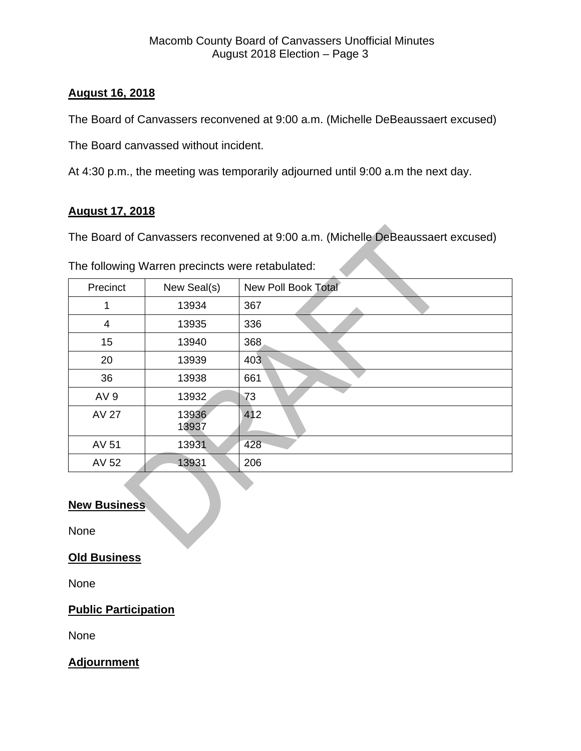#### **August 16, 2018**

The Board of Canvassers reconvened at 9:00 a.m. (Michelle DeBeaussaert excused)

The Board canvassed without incident.

At 4:30 p.m., the meeting was temporarily adjourned until 9:00 a.m the next day.

#### **August 17, 2018**

The Board of Canvassers reconvened at 9:00 a.m. (Michelle DeBeaussaert excused)

| Precinct        | New Seal(s)    | New Poll Book Total |
|-----------------|----------------|---------------------|
| 1               | 13934          | 367                 |
| $\overline{4}$  | 13935          | 336                 |
| 15              | 13940          | 368                 |
| 20              | 13939          | 403                 |
| 36              | 13938          | 661                 |
| AV <sub>9</sub> | 13932          | 73                  |
| <b>AV 27</b>    | 13936<br>13937 | 412                 |
| AV 51           | 13931          | 428                 |
| AV 52           | 13931          | 206                 |

#### **New Business**

None

#### **Old Business**

None

#### **Public Participation**

None

#### **Adjournment**